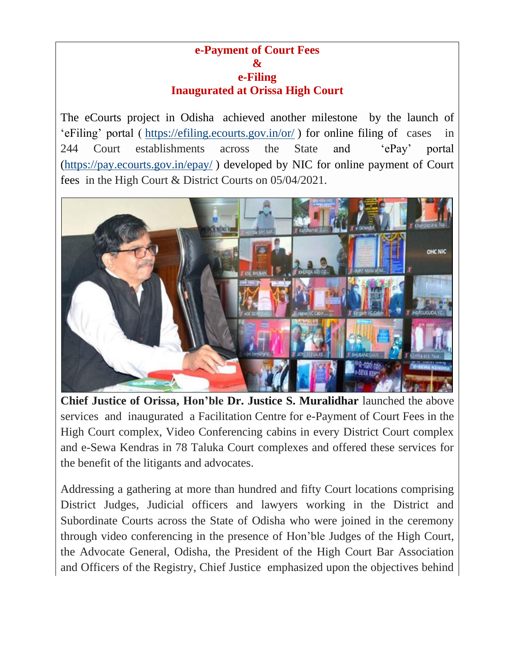## **e-Payment of Court Fees & e-Filing Inaugurated at Orissa High Court**

The eCourts project in Odisha achieved another milestone by the launch of 'eFiling' portal ( <https://efiling.ecourts.gov.in/or/> ) for online filing of cases in 244 Court establishments across the State and 'ePay' portal [\(https://pay.ecourts.gov.in/epay/](https://pay.ecourts.gov.in/epay/) ) developed by NIC for online payment of Court fees in the High Court & District Courts on 05/04/2021.



**Chief Justice of Orissa, Hon'ble Dr. Justice S. Muralidhar** launched the above services and inaugurated a Facilitation Centre for e-Payment of Court Fees in the High Court complex, Video Conferencing cabins in every District Court complex and e-Sewa Kendras in 78 Taluka Court complexes and offered these services for the benefit of the litigants and advocates.

Addressing a gathering at more than hundred and fifty Court locations comprising District Judges, Judicial officers and lawyers working in the District and Subordinate Courts across the State of Odisha who were joined in the ceremony through video conferencing in the presence of Hon'ble Judges of the High Court, the Advocate General, Odisha, the President of the High Court Bar Association and Officers of the Registry, Chief Justice emphasized upon the objectives behind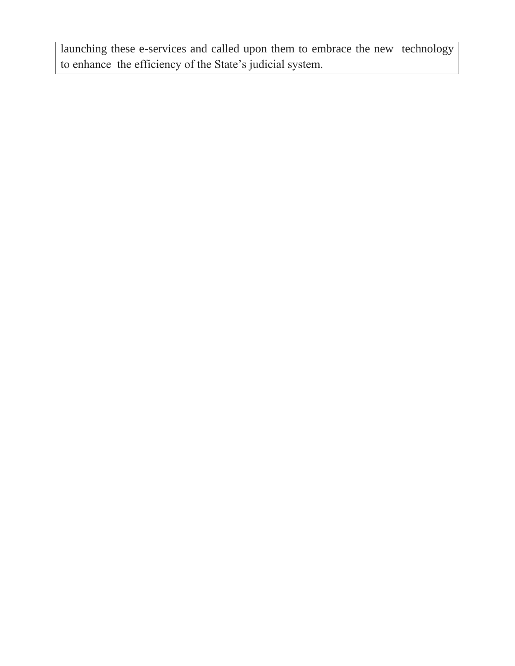launching these e-services and called upon them to embrace the new technology to enhance the efficiency of the State's judicial system.